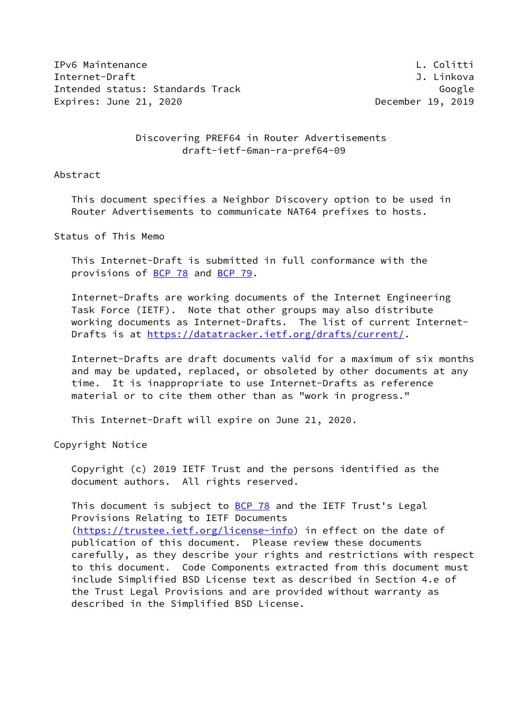IPv6 Maintenance L. Colitti Internet-Draft J. Linkova Intended status: Standards Track Google Expires: June 21, 2020 **December 19, 2019** 

 Discovering PREF64 in Router Advertisements draft-ietf-6man-ra-pref64-09

#### Abstract

 This document specifies a Neighbor Discovery option to be used in Router Advertisements to communicate NAT64 prefixes to hosts.

#### Status of This Memo

 This Internet-Draft is submitted in full conformance with the provisions of [BCP 78](https://datatracker.ietf.org/doc/pdf/bcp78) and [BCP 79](https://datatracker.ietf.org/doc/pdf/bcp79).

 Internet-Drafts are working documents of the Internet Engineering Task Force (IETF). Note that other groups may also distribute working documents as Internet-Drafts. The list of current Internet- Drafts is at<https://datatracker.ietf.org/drafts/current/>.

 Internet-Drafts are draft documents valid for a maximum of six months and may be updated, replaced, or obsoleted by other documents at any time. It is inappropriate to use Internet-Drafts as reference material or to cite them other than as "work in progress."

This Internet-Draft will expire on June 21, 2020.

Copyright Notice

 Copyright (c) 2019 IETF Trust and the persons identified as the document authors. All rights reserved.

This document is subject to  $BCP$  78 and the IETF Trust's Legal Provisions Relating to IETF Documents [\(https://trustee.ietf.org/license-info](https://trustee.ietf.org/license-info)) in effect on the date of publication of this document. Please review these documents carefully, as they describe your rights and restrictions with respect to this document. Code Components extracted from this document must include Simplified BSD License text as described in Section 4.e of the Trust Legal Provisions and are provided without warranty as described in the Simplified BSD License.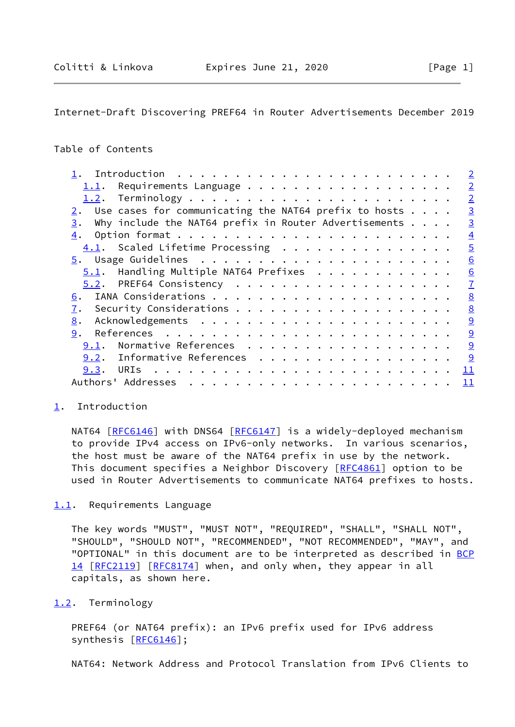# <span id="page-1-1"></span>Internet-Draft Discovering PREF64 in Router Advertisements December 2019

# Table of Contents

|                                                                        |  | $\overline{2}$ |
|------------------------------------------------------------------------|--|----------------|
| 1.1. Requirements Language                                             |  | $\overline{2}$ |
|                                                                        |  | $\overline{2}$ |
| Use cases for communicating the NAT64 prefix to hosts $\ldots$ .<br>2. |  | $\overline{3}$ |
| Why include the NAT64 prefix in Router Advertisements $\ldots$ .<br>3. |  | $\overline{3}$ |
|                                                                        |  | $\overline{4}$ |
| 4.1. Scaled Lifetime Processing                                        |  | $\overline{5}$ |
|                                                                        |  | 6              |
| $5.1$ . Handling Multiple NAT64 Prefixes                               |  | 6              |
|                                                                        |  | $\overline{1}$ |
| 6.                                                                     |  | 8              |
| 7.                                                                     |  | 8              |
| 8.                                                                     |  | 9              |
| 9.                                                                     |  | 9              |
| Normative References<br>9.1.                                           |  | 9              |
| Informative References<br>9.2.                                         |  | 9              |
| 9.3.                                                                   |  | 11             |
|                                                                        |  | 11             |
|                                                                        |  |                |

### <span id="page-1-0"></span>[1](#page-1-0). Introduction

NAT64 [[RFC6146](https://datatracker.ietf.org/doc/pdf/rfc6146)] with DNS64 [[RFC6147\]](https://datatracker.ietf.org/doc/pdf/rfc6147) is a widely-deployed mechanism to provide IPv4 access on IPv6-only networks. In various scenarios, the host must be aware of the NAT64 prefix in use by the network. This document specifies a Neighbor Discovery [\[RFC4861](https://datatracker.ietf.org/doc/pdf/rfc4861)] option to be used in Router Advertisements to communicate NAT64 prefixes to hosts.

### <span id="page-1-2"></span>[1.1](#page-1-2). Requirements Language

 The key words "MUST", "MUST NOT", "REQUIRED", "SHALL", "SHALL NOT", "SHOULD", "SHOULD NOT", "RECOMMENDED", "NOT RECOMMENDED", "MAY", and "OPTIONAL" in this document are to be interpreted as described in [BCP](https://datatracker.ietf.org/doc/pdf/bcp14) [14](https://datatracker.ietf.org/doc/pdf/bcp14) [[RFC2119\]](https://datatracker.ietf.org/doc/pdf/rfc2119) [\[RFC8174](https://datatracker.ietf.org/doc/pdf/rfc8174)] when, and only when, they appear in all capitals, as shown here.

<span id="page-1-3"></span>[1.2](#page-1-3). Terminology

 PREF64 (or NAT64 prefix): an IPv6 prefix used for IPv6 address synthesis [[RFC6146](https://datatracker.ietf.org/doc/pdf/rfc6146)];

NAT64: Network Address and Protocol Translation from IPv6 Clients to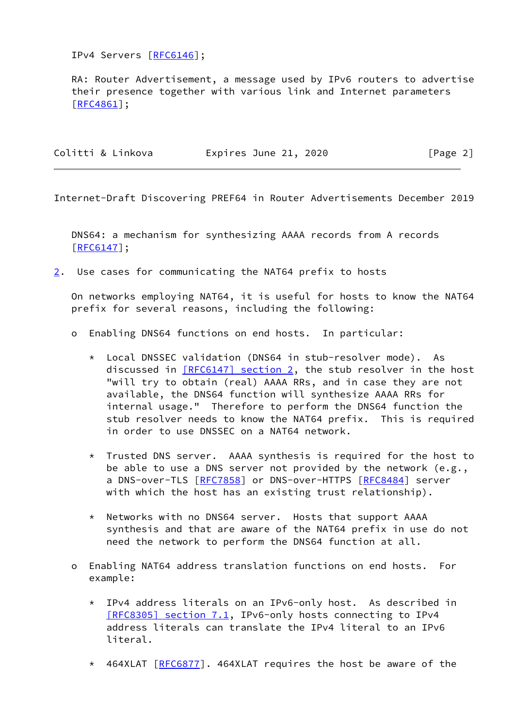IPv4 Servers [\[RFC6146](https://datatracker.ietf.org/doc/pdf/rfc6146)];

 RA: Router Advertisement, a message used by IPv6 routers to advertise their presence together with various link and Internet parameters [\[RFC4861](https://datatracker.ietf.org/doc/pdf/rfc4861)];

| Colitti & Linkova | Expires June 21, 2020 | [Page 2] |
|-------------------|-----------------------|----------|
|                   |                       |          |

<span id="page-2-1"></span>Internet-Draft Discovering PREF64 in Router Advertisements December 2019

 DNS64: a mechanism for synthesizing AAAA records from A records [\[RFC6147](https://datatracker.ietf.org/doc/pdf/rfc6147)];

<span id="page-2-0"></span>[2](#page-2-0). Use cases for communicating the NAT64 prefix to hosts

 On networks employing NAT64, it is useful for hosts to know the NAT64 prefix for several reasons, including the following:

- o Enabling DNS64 functions on end hosts. In particular:
	- \* Local DNSSEC validation (DNS64 in stub-resolver mode). As discussed in [\[RFC6147\] section](https://datatracker.ietf.org/doc/pdf/rfc6147#section-2) 2, the stub resolver in the host "will try to obtain (real) AAAA RRs, and in case they are not available, the DNS64 function will synthesize AAAA RRs for internal usage." Therefore to perform the DNS64 function the stub resolver needs to know the NAT64 prefix. This is required in order to use DNSSEC on a NAT64 network.
	- \* Trusted DNS server. AAAA synthesis is required for the host to be able to use a DNS server not provided by the network (e.g., a DNS-over-TLS [\[RFC7858](https://datatracker.ietf.org/doc/pdf/rfc7858)] or DNS-over-HTTPS [\[RFC8484](https://datatracker.ietf.org/doc/pdf/rfc8484)] server with which the host has an existing trust relationship).
	- \* Networks with no DNS64 server. Hosts that support AAAA synthesis and that are aware of the NAT64 prefix in use do not need the network to perform the DNS64 function at all.
- o Enabling NAT64 address translation functions on end hosts. For example:
	- \* IPv4 address literals on an IPv6-only host. As described in [\[RFC8305\] section](https://datatracker.ietf.org/doc/pdf/rfc8305#section-7.1) 7.1, IPv6-only hosts connecting to IPv4 address literals can translate the IPv4 literal to an IPv6 literal.
	- \* 464XLAT [[RFC6877](https://datatracker.ietf.org/doc/pdf/rfc6877)]. 464XLAT requires the host be aware of the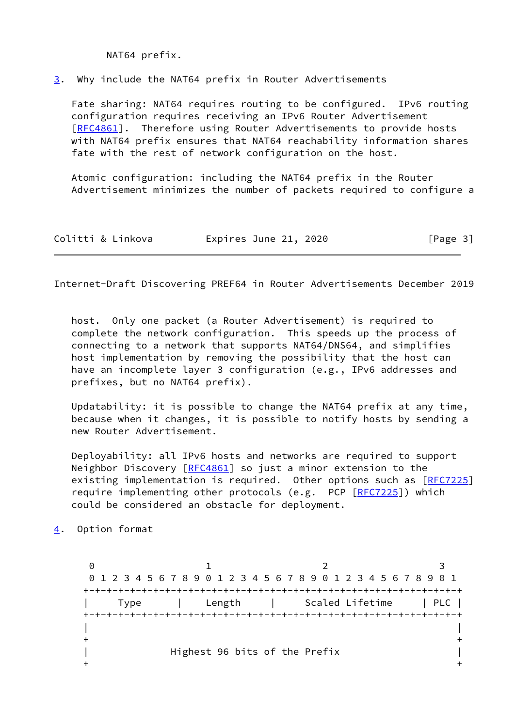NAT64 prefix.

<span id="page-3-0"></span>[3](#page-3-0). Why include the NAT64 prefix in Router Advertisements

 Fate sharing: NAT64 requires routing to be configured. IPv6 routing configuration requires receiving an IPv6 Router Advertisement [\[RFC4861](https://datatracker.ietf.org/doc/pdf/rfc4861)]. Therefore using Router Advertisements to provide hosts with NAT64 prefix ensures that NAT64 reachability information shares fate with the rest of network configuration on the host.

 Atomic configuration: including the NAT64 prefix in the Router Advertisement minimizes the number of packets required to configure a

| Colitti & Linkova | Expires June 21, 2020 | [Page 3] |
|-------------------|-----------------------|----------|
|-------------------|-----------------------|----------|

<span id="page-3-2"></span>Internet-Draft Discovering PREF64 in Router Advertisements December 2019

 host. Only one packet (a Router Advertisement) is required to complete the network configuration. This speeds up the process of connecting to a network that supports NAT64/DNS64, and simplifies host implementation by removing the possibility that the host can have an incomplete layer 3 configuration (e.g., IPv6 addresses and prefixes, but no NAT64 prefix).

 Updatability: it is possible to change the NAT64 prefix at any time, because when it changes, it is possible to notify hosts by sending a new Router Advertisement.

 Deployability: all IPv6 hosts and networks are required to support Neighbor Discovery [[RFC4861\]](https://datatracker.ietf.org/doc/pdf/rfc4861) so just a minor extension to the existing implementation is required. Other options such as [\[RFC7225](https://datatracker.ietf.org/doc/pdf/rfc7225)] require implementing other protocols (e.g. PCP [\[RFC7225](https://datatracker.ietf.org/doc/pdf/rfc7225)]) which could be considered an obstacle for deployment.

<span id="page-3-1"></span>[4](#page-3-1). Option format

0 1 2 3 0 1 2 3 4 5 6 7 8 9 0 1 2 3 4 5 6 7 8 9 0 1 2 3 4 5 6 7 8 9 0 1 +-+-+-+-+-+-+-+-+-+-+-+-+-+-+-+-+-+-+-+-+-+-+-+-+-+-+-+-+-+-+-+-+ | Type | Length | Scaled Lifetime | PLC | +-+-+-+-+-+-+-+-+-+-+-+-+-+-+-+-+-+-+-+-+-+-+-+-+-+-+-+-+-+-+-+-+ | |  $+$  +  $+$  +  $+$  +  $+$  +  $+$  +  $+$  +  $+$  +  $+$  +  $+$  +  $+$  +  $+$  +  $+$  +  $+$  +  $+$  +  $+$  +  $+$  +  $+$  +  $+$  +  $+$  +  $+$  +  $+$  +  $+$  +  $+$  +  $+$  +  $+$  +  $+$  +  $+$  +  $+$  +  $+$  +  $+$  +  $+$  +  $+$  +  $+$  +  $+$  +  $+$  +  $+$  +  $+$  + | Highest 96 bits of the Prefix |  $+$  +  $+$  +  $+$  +  $+$  +  $+$  +  $+$  +  $+$  +  $+$  +  $+$  +  $+$  +  $+$  +  $+$  +  $+$  +  $+$  +  $+$  +  $+$  +  $+$  +  $+$  +  $+$  +  $+$  +  $+$  +  $+$  +  $+$  +  $+$  +  $+$  +  $+$  +  $+$  +  $+$  +  $+$  +  $+$  +  $+$  +  $+$  +  $+$  +  $+$  +  $+$  +  $+$  +  $+$  +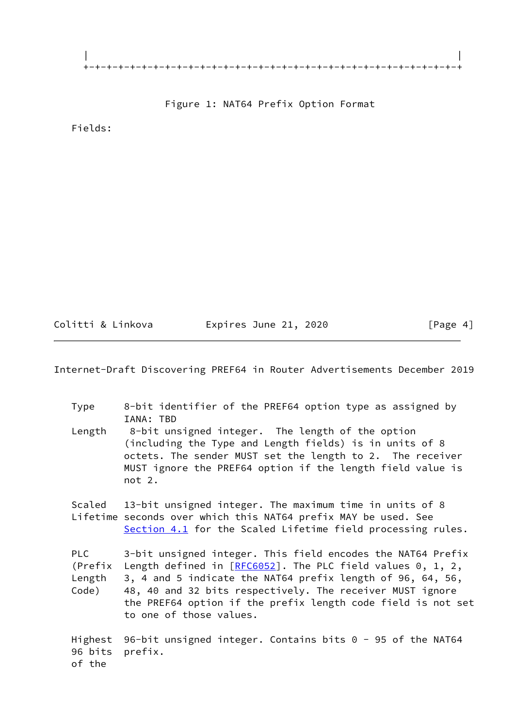

Figure 1: NAT64 Prefix Option Format

Fields:

Colitti & Linkova Expires June 21, 2020 [Page 4]

<span id="page-4-0"></span>Internet-Draft Discovering PREF64 in Router Advertisements December 2019

| Type                                     | 8-bit identifier of the PREF64 option type as assigned by<br>IANA: TBD                                                                                                                                                                                                                                                                            |
|------------------------------------------|---------------------------------------------------------------------------------------------------------------------------------------------------------------------------------------------------------------------------------------------------------------------------------------------------------------------------------------------------|
| Length                                   | 8-bit unsigned integer. The length of the option<br>(including the Type and Length fields) is in units of 8<br>octets. The sender MUST set the length to 2. The receiver<br>MUST ignore the PREF64 option if the length field value is<br>not 2.                                                                                                  |
|                                          | Scaled 13-bit unsigned integer. The maximum time in units of 8<br>Lifetime seconds over which this NAT64 prefix MAY be used. See<br>Section 4.1 for the Scaled Lifetime field processing rules.                                                                                                                                                   |
| <b>PLC</b><br>(Prefix<br>Length<br>Code) | 3-bit unsigned integer. This field encodes the NAT64 Prefix<br>Length defined in $[REG052]$ . The PLC field values 0, 1, 2,<br>3, 4 and 5 indicate the NAT64 prefix length of 96, 64, 56,<br>48, 40 and 32 bits respectively. The receiver MUST ignore<br>the PREF64 option if the prefix length code field is not set<br>to one of those values. |
| 96 bits                                  | Highest 96-bit unsigned integer. Contains bits $0 - 95$ of the NAT64<br>prefix.                                                                                                                                                                                                                                                                   |

of the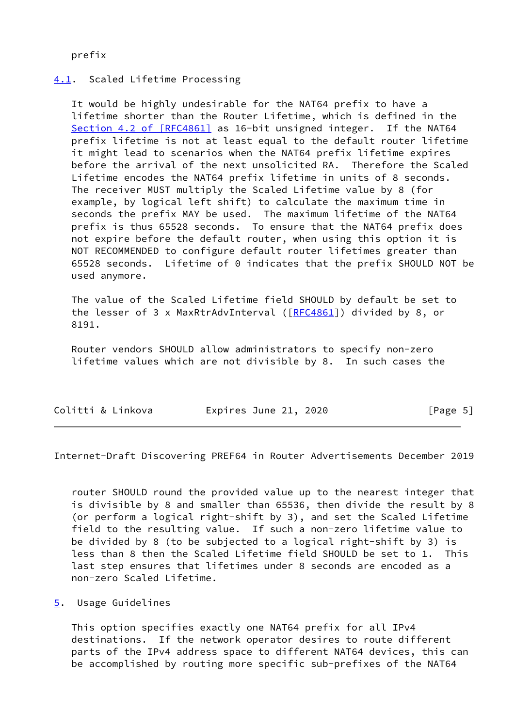### prefix

#### <span id="page-5-0"></span>[4.1](#page-5-0). Scaled Lifetime Processing

 It would be highly undesirable for the NAT64 prefix to have a lifetime shorter than the Router Lifetime, which is defined in the Section [4.2 of \[RFC4861\]](https://datatracker.ietf.org/doc/pdf/rfc4861#section-4.2) as 16-bit unsigned integer. If the NAT64 prefix lifetime is not at least equal to the default router lifetime it might lead to scenarios when the NAT64 prefix lifetime expires before the arrival of the next unsolicited RA. Therefore the Scaled Lifetime encodes the NAT64 prefix lifetime in units of 8 seconds. The receiver MUST multiply the Scaled Lifetime value by 8 (for example, by logical left shift) to calculate the maximum time in seconds the prefix MAY be used. The maximum lifetime of the NAT64 prefix is thus 65528 seconds. To ensure that the NAT64 prefix does not expire before the default router, when using this option it is NOT RECOMMENDED to configure default router lifetimes greater than 65528 seconds. Lifetime of 0 indicates that the prefix SHOULD NOT be used anymore.

 The value of the Scaled Lifetime field SHOULD by default be set to the lesser of 3 x MaxRtrAdvInterval ([\[RFC4861](https://datatracker.ietf.org/doc/pdf/rfc4861)]) divided by 8, or 8191.

 Router vendors SHOULD allow administrators to specify non-zero lifetime values which are not divisible by 8. In such cases the

| Colitti & Linkova<br>Expires June 21, 2020<br>[Page 5] |  |
|--------------------------------------------------------|--|
|--------------------------------------------------------|--|

<span id="page-5-2"></span>Internet-Draft Discovering PREF64 in Router Advertisements December 2019

 router SHOULD round the provided value up to the nearest integer that is divisible by 8 and smaller than 65536, then divide the result by 8 (or perform a logical right-shift by 3), and set the Scaled Lifetime field to the resulting value. If such a non-zero lifetime value to be divided by 8 (to be subjected to a logical right-shift by 3) is less than 8 then the Scaled Lifetime field SHOULD be set to 1. This last step ensures that lifetimes under 8 seconds are encoded as a non-zero Scaled Lifetime.

<span id="page-5-1"></span>[5](#page-5-1). Usage Guidelines

 This option specifies exactly one NAT64 prefix for all IPv4 destinations. If the network operator desires to route different parts of the IPv4 address space to different NAT64 devices, this can be accomplished by routing more specific sub-prefixes of the NAT64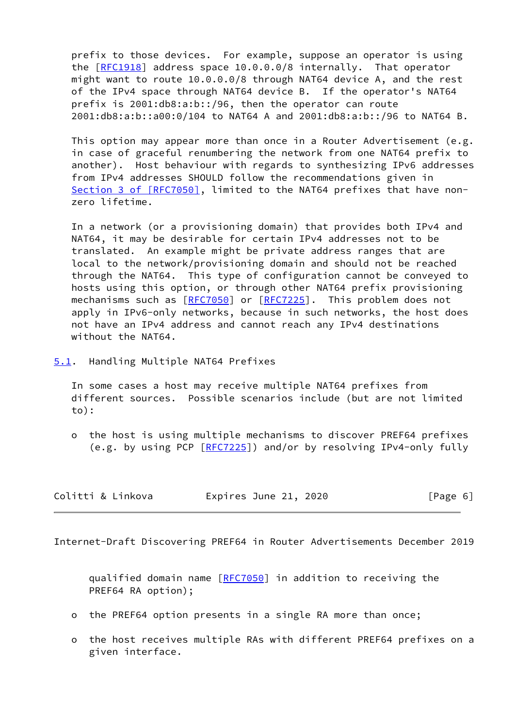prefix to those devices. For example, suppose an operator is using the [\[RFC1918](https://datatracker.ietf.org/doc/pdf/rfc1918)] address space 10.0.0.0/8 internally. That operator might want to route 10.0.0.0/8 through NAT64 device A, and the rest of the IPv4 space through NAT64 device B. If the operator's NAT64 prefix is 2001:db8:a:b::/96, then the operator can route 2001:db8:a:b::a00:0/104 to NAT64 A and 2001:db8:a:b::/96 to NAT64 B.

This option may appear more than once in a Router Advertisement  $(e.g.$  in case of graceful renumbering the network from one NAT64 prefix to another). Host behaviour with regards to synthesizing IPv6 addresses from IPv4 addresses SHOULD follow the recommendations given in Section [3 of \[RFC7050\]](https://datatracker.ietf.org/doc/pdf/rfc7050#section-3), limited to the NAT64 prefixes that have nonzero lifetime.

 In a network (or a provisioning domain) that provides both IPv4 and NAT64, it may be desirable for certain IPv4 addresses not to be translated. An example might be private address ranges that are local to the network/provisioning domain and should not be reached through the NAT64. This type of configuration cannot be conveyed to hosts using this option, or through other NAT64 prefix provisioning mechanisms such as [[RFC7050\]](https://datatracker.ietf.org/doc/pdf/rfc7050) or [\[RFC7225](https://datatracker.ietf.org/doc/pdf/rfc7225)]. This problem does not apply in IPv6-only networks, because in such networks, the host does not have an IPv4 address and cannot reach any IPv4 destinations without the NAT64.

<span id="page-6-0"></span>[5.1](#page-6-0). Handling Multiple NAT64 Prefixes

 In some cases a host may receive multiple NAT64 prefixes from different sources. Possible scenarios include (but are not limited to):

 o the host is using multiple mechanisms to discover PREF64 prefixes (e.g. by using PCP [[RFC7225](https://datatracker.ietf.org/doc/pdf/rfc7225)]) and/or by resolving IPv4-only fully

| Colitti & Linkova | Expires June 21, 2020 | [Page 6] |  |
|-------------------|-----------------------|----------|--|
|-------------------|-----------------------|----------|--|

<span id="page-6-1"></span>Internet-Draft Discovering PREF64 in Router Advertisements December 2019

qualified domain name [\[RFC7050](https://datatracker.ietf.org/doc/pdf/rfc7050)] in addition to receiving the PREF64 RA option);

- o the PREF64 option presents in a single RA more than once;
- o the host receives multiple RAs with different PREF64 prefixes on a given interface.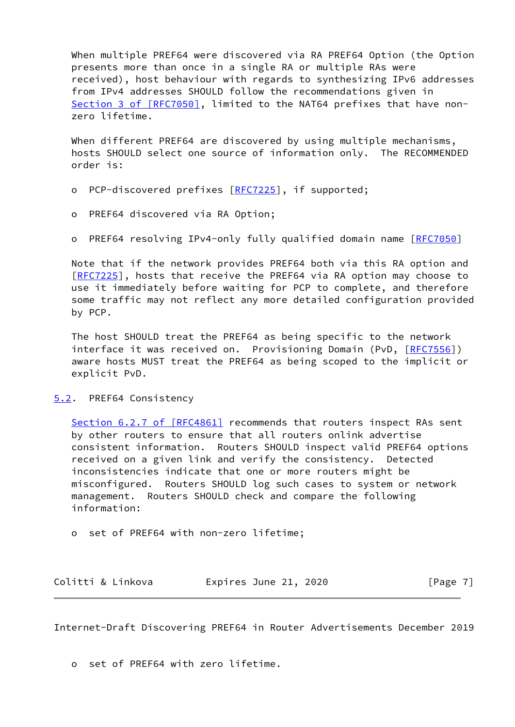When multiple PREF64 were discovered via RA PREF64 Option (the Option presents more than once in a single RA or multiple RAs were received), host behaviour with regards to synthesizing IPv6 addresses from IPv4 addresses SHOULD follow the recommendations given in Section [3 of \[RFC7050\]](https://datatracker.ietf.org/doc/pdf/rfc7050#section-3), limited to the NAT64 prefixes that have nonzero lifetime.

When different PREF64 are discovered by using multiple mechanisms, hosts SHOULD select one source of information only. The RECOMMENDED order is:

- o PCP-discovered prefixes [[RFC7225\]](https://datatracker.ietf.org/doc/pdf/rfc7225), if supported;
- o PREF64 discovered via RA Option;
- o PREF64 resolving IPv4-only fully qualified domain name [[RFC7050](https://datatracker.ietf.org/doc/pdf/rfc7050)]

 Note that if the network provides PREF64 both via this RA option and [\[RFC7225](https://datatracker.ietf.org/doc/pdf/rfc7225)], hosts that receive the PREF64 via RA option may choose to use it immediately before waiting for PCP to complete, and therefore some traffic may not reflect any more detailed configuration provided by PCP.

 The host SHOULD treat the PREF64 as being specific to the network interface it was received on. Provisioning Domain (PvD, [\[RFC7556](https://datatracker.ietf.org/doc/pdf/rfc7556)]) aware hosts MUST treat the PREF64 as being scoped to the implicit or explicit PvD.

### <span id="page-7-0"></span>[5.2](#page-7-0). PREF64 Consistency

Section [6.2.7 of \[RFC4861\]](https://datatracker.ietf.org/doc/pdf/rfc4861#section-6.2.7) recommends that routers inspect RAs sent by other routers to ensure that all routers onlink advertise consistent information. Routers SHOULD inspect valid PREF64 options received on a given link and verify the consistency. Detected inconsistencies indicate that one or more routers might be misconfigured. Routers SHOULD log such cases to system or network management. Routers SHOULD check and compare the following information:

o set of PREF64 with non-zero lifetime;

| Colitti & Linkova | Expires June 21, 2020 | [Page 7] |
|-------------------|-----------------------|----------|
|-------------------|-----------------------|----------|

<span id="page-7-1"></span>Internet-Draft Discovering PREF64 in Router Advertisements December 2019

o set of PREF64 with zero lifetime.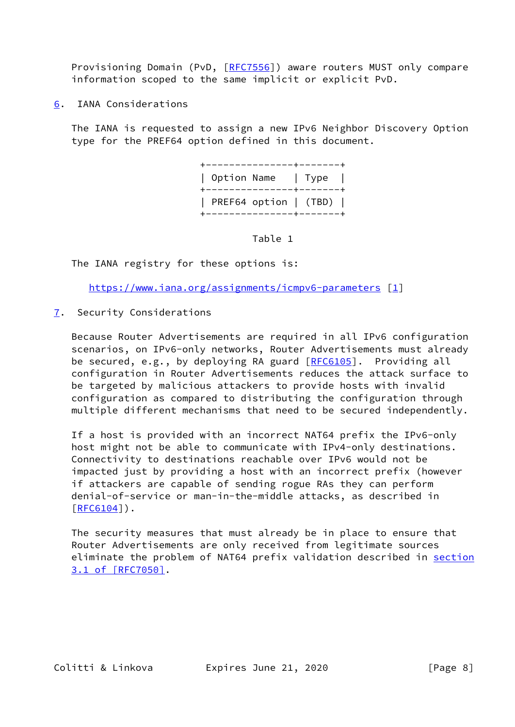Provisioning Domain (PvD, [[RFC7556](https://datatracker.ietf.org/doc/pdf/rfc7556)]) aware routers MUST only compare information scoped to the same implicit or explicit PvD.

<span id="page-8-0"></span>[6](#page-8-0). IANA Considerations

 The IANA is requested to assign a new IPv6 Neighbor Discovery Option type for the PREF64 option defined in this document.

| Option Name   Type          | _______________________ |  |
|-----------------------------|-------------------------|--|
| PREF64 option $ $ (TBD) $ $ |                         |  |

Table 1

The IANA registry for these options is:

<https://www.iana.org/assignments/icmpv6-parameters>[[1\]](#page-11-2)

<span id="page-8-1"></span>[7](#page-8-1). Security Considerations

 Because Router Advertisements are required in all IPv6 configuration scenarios, on IPv6-only networks, Router Advertisements must already be secured, e.g., by deploying RA guard [\[RFC6105](https://datatracker.ietf.org/doc/pdf/rfc6105)]. Providing all configuration in Router Advertisements reduces the attack surface to be targeted by malicious attackers to provide hosts with invalid configuration as compared to distributing the configuration through multiple different mechanisms that need to be secured independently.

 If a host is provided with an incorrect NAT64 prefix the IPv6-only host might not be able to communicate with IPv4-only destinations. Connectivity to destinations reachable over IPv6 would not be impacted just by providing a host with an incorrect prefix (however if attackers are capable of sending rogue RAs they can perform denial-of-service or man-in-the-middle attacks, as described in  $[RFC6104]$  $[RFC6104]$ .

 The security measures that must already be in place to ensure that Router Advertisements are only received from legitimate sources eliminate the problem of NAT64 prefix validation described in [section](https://datatracker.ietf.org/doc/pdf/rfc7050#section-3.1) [3.1 of \[RFC7050\]](https://datatracker.ietf.org/doc/pdf/rfc7050#section-3.1).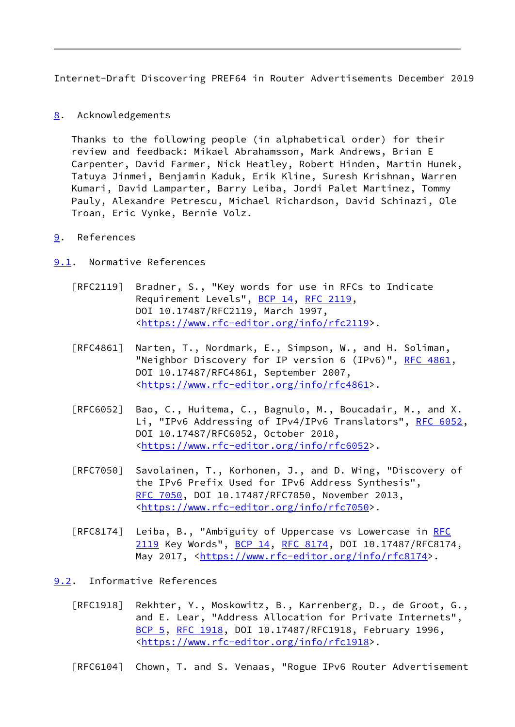<span id="page-9-1"></span>Internet-Draft Discovering PREF64 in Router Advertisements December 2019

<span id="page-9-0"></span>[8](#page-9-0). Acknowledgements

 Thanks to the following people (in alphabetical order) for their review and feedback: Mikael Abrahamsson, Mark Andrews, Brian E Carpenter, David Farmer, Nick Heatley, Robert Hinden, Martin Hunek, Tatuya Jinmei, Benjamin Kaduk, Erik Kline, Suresh Krishnan, Warren Kumari, David Lamparter, Barry Leiba, Jordi Palet Martinez, Tommy Pauly, Alexandre Petrescu, Michael Richardson, David Schinazi, Ole Troan, Eric Vynke, Bernie Volz.

- <span id="page-9-2"></span>[9](#page-9-2). References
- <span id="page-9-3"></span>[9.1](#page-9-3). Normative References
	- [RFC2119] Bradner, S., "Key words for use in RFCs to Indicate Requirement Levels", [BCP 14](https://datatracker.ietf.org/doc/pdf/bcp14), [RFC 2119](https://datatracker.ietf.org/doc/pdf/rfc2119), DOI 10.17487/RFC2119, March 1997, <[https://www.rfc-editor.org/info/rfc2119>](https://www.rfc-editor.org/info/rfc2119).
	- [RFC4861] Narten, T., Nordmark, E., Simpson, W., and H. Soliman, "Neighbor Discovery for IP version 6 (IPv6)", [RFC 4861](https://datatracker.ietf.org/doc/pdf/rfc4861), DOI 10.17487/RFC4861, September 2007, <[https://www.rfc-editor.org/info/rfc4861>](https://www.rfc-editor.org/info/rfc4861).
	- [RFC6052] Bao, C., Huitema, C., Bagnulo, M., Boucadair, M., and X. Li, "IPv6 Addressing of IPv4/IPv6 Translators", [RFC 6052,](https://datatracker.ietf.org/doc/pdf/rfc6052) DOI 10.17487/RFC6052, October 2010, <[https://www.rfc-editor.org/info/rfc6052>](https://www.rfc-editor.org/info/rfc6052).
	- [RFC7050] Savolainen, T., Korhonen, J., and D. Wing, "Discovery of the IPv6 Prefix Used for IPv6 Address Synthesis", [RFC 7050,](https://datatracker.ietf.org/doc/pdf/rfc7050) DOI 10.17487/RFC7050, November 2013, <[https://www.rfc-editor.org/info/rfc7050>](https://www.rfc-editor.org/info/rfc7050).
	- [RFC8174] Leiba, B., "Ambiguity of Uppercase vs Lowercase in [RFC](https://datatracker.ietf.org/doc/pdf/rfc2119) [2119](https://datatracker.ietf.org/doc/pdf/rfc2119) Key Words", [BCP 14](https://datatracker.ietf.org/doc/pdf/bcp14), [RFC 8174,](https://datatracker.ietf.org/doc/pdf/rfc8174) DOI 10.17487/RFC8174, May 2017, [<https://www.rfc-editor.org/info/rfc8174](https://www.rfc-editor.org/info/rfc8174)>.
- <span id="page-9-4"></span>[9.2](#page-9-4). Informative References
	- [RFC1918] Rekhter, Y., Moskowitz, B., Karrenberg, D., de Groot, G., and E. Lear, "Address Allocation for Private Internets", [BCP 5,](https://datatracker.ietf.org/doc/pdf/bcp5) [RFC 1918](https://datatracker.ietf.org/doc/pdf/rfc1918), DOI 10.17487/RFC1918, February 1996, <[https://www.rfc-editor.org/info/rfc1918>](https://www.rfc-editor.org/info/rfc1918).
	- [RFC6104] Chown, T. and S. Venaas, "Rogue IPv6 Router Advertisement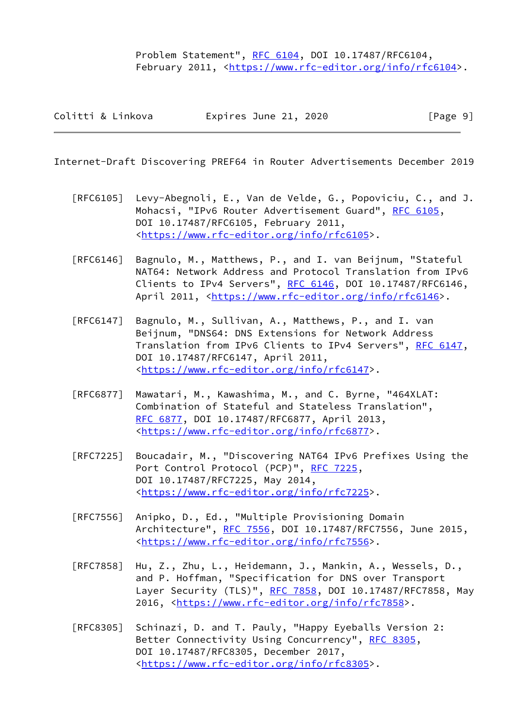Problem Statement", [RFC 6104,](https://datatracker.ietf.org/doc/pdf/rfc6104) DOI 10.17487/RFC6104, February 2011, <<https://www.rfc-editor.org/info/rfc6104>>.

| Colitti & Linkova | Expires June 21, 2020 | [Page 9] |
|-------------------|-----------------------|----------|
|-------------------|-----------------------|----------|

Internet-Draft Discovering PREF64 in Router Advertisements December 2019

- [RFC6105] Levy-Abegnoli, E., Van de Velde, G., Popoviciu, C., and J. Mohacsi, "IPv6 Router Advertisement Guard", [RFC 6105,](https://datatracker.ietf.org/doc/pdf/rfc6105) DOI 10.17487/RFC6105, February 2011, <[https://www.rfc-editor.org/info/rfc6105>](https://www.rfc-editor.org/info/rfc6105).
- [RFC6146] Bagnulo, M., Matthews, P., and I. van Beijnum, "Stateful NAT64: Network Address and Protocol Translation from IPv6 Clients to IPv4 Servers", [RFC 6146](https://datatracker.ietf.org/doc/pdf/rfc6146), DOI 10.17487/RFC6146, April 2011, [<https://www.rfc-editor.org/info/rfc6146](https://www.rfc-editor.org/info/rfc6146)>.
- [RFC6147] Bagnulo, M., Sullivan, A., Matthews, P., and I. van Beijnum, "DNS64: DNS Extensions for Network Address Translation from IPv6 Clients to IPv4 Servers", [RFC 6147,](https://datatracker.ietf.org/doc/pdf/rfc6147) DOI 10.17487/RFC6147, April 2011, <[https://www.rfc-editor.org/info/rfc6147>](https://www.rfc-editor.org/info/rfc6147).
- [RFC6877] Mawatari, M., Kawashima, M., and C. Byrne, "464XLAT: Combination of Stateful and Stateless Translation", [RFC 6877,](https://datatracker.ietf.org/doc/pdf/rfc6877) DOI 10.17487/RFC6877, April 2013, <[https://www.rfc-editor.org/info/rfc6877>](https://www.rfc-editor.org/info/rfc6877).
- [RFC7225] Boucadair, M., "Discovering NAT64 IPv6 Prefixes Using the Port Control Protocol (PCP)", [RFC 7225](https://datatracker.ietf.org/doc/pdf/rfc7225), DOI 10.17487/RFC7225, May 2014, <[https://www.rfc-editor.org/info/rfc7225>](https://www.rfc-editor.org/info/rfc7225).
- [RFC7556] Anipko, D., Ed., "Multiple Provisioning Domain Architecture", [RFC 7556](https://datatracker.ietf.org/doc/pdf/rfc7556), DOI 10.17487/RFC7556, June 2015, <[https://www.rfc-editor.org/info/rfc7556>](https://www.rfc-editor.org/info/rfc7556).
- [RFC7858] Hu, Z., Zhu, L., Heidemann, J., Mankin, A., Wessels, D., and P. Hoffman, "Specification for DNS over Transport Layer Security (TLS)", [RFC 7858](https://datatracker.ietf.org/doc/pdf/rfc7858), DOI 10.17487/RFC7858, May 2016, [<https://www.rfc-editor.org/info/rfc7858](https://www.rfc-editor.org/info/rfc7858)>.
- [RFC8305] Schinazi, D. and T. Pauly, "Happy Eyeballs Version 2: Better Connectivity Using Concurrency", [RFC 8305,](https://datatracker.ietf.org/doc/pdf/rfc8305) DOI 10.17487/RFC8305, December 2017, <[https://www.rfc-editor.org/info/rfc8305>](https://www.rfc-editor.org/info/rfc8305).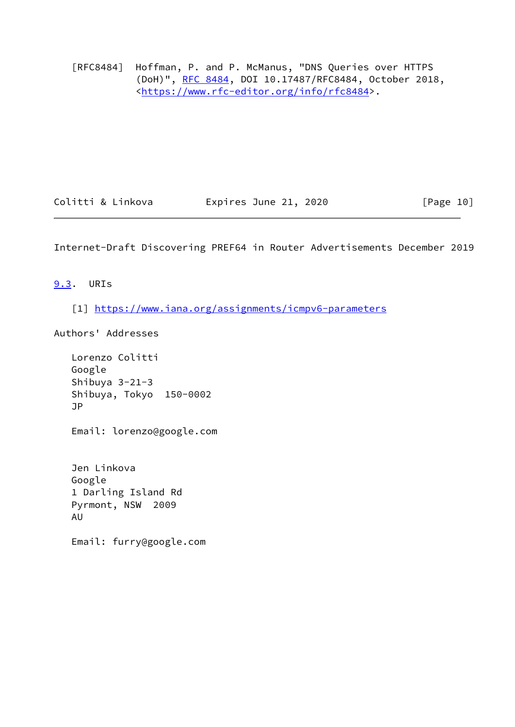[RFC8484] Hoffman, P. and P. McManus, "DNS Queries over HTTPS (DoH)", [RFC 8484,](https://datatracker.ietf.org/doc/pdf/rfc8484) DOI 10.17487/RFC8484, October 2018, <[https://www.rfc-editor.org/info/rfc8484>](https://www.rfc-editor.org/info/rfc8484).

Colitti & Linkova Expires June 21, 2020 [Page 10]

<span id="page-11-1"></span>Internet-Draft Discovering PREF64 in Router Advertisements December 2019

# <span id="page-11-0"></span>[9.3](#page-11-0). URIs

<span id="page-11-2"></span>[1] <https://www.iana.org/assignments/icmpv6-parameters>

Authors' Addresses

 Lorenzo Colitti Google Shibuya 3-21-3 Shibuya, Tokyo 150-0002 JP Email: lorenzo@google.com Jen Linkova Google 1 Darling Island Rd Pyrmont, NSW 2009 AU

Email: furry@google.com